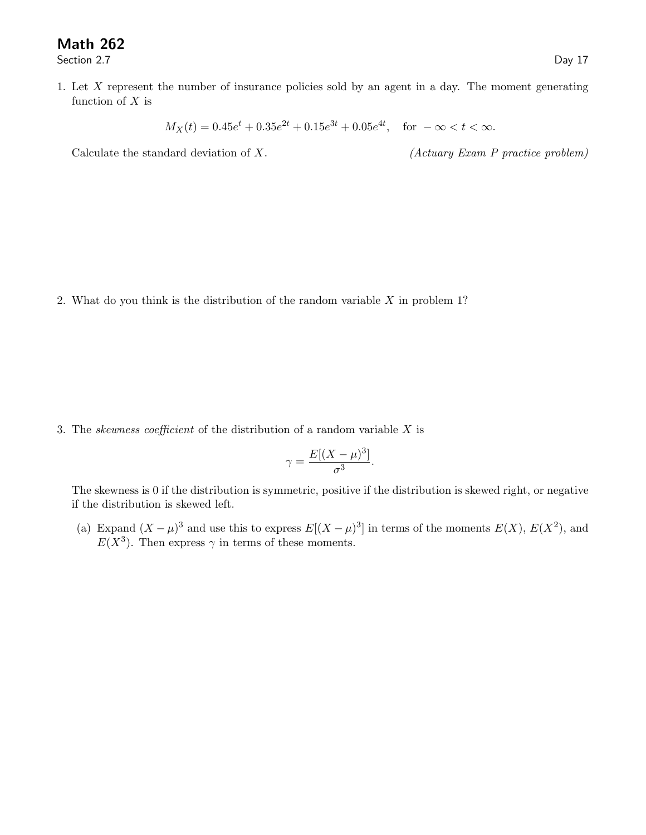## Math 262

Section 2.7 Day 17

1. Let X represent the number of insurance policies sold by an agent in a day. The moment generating function of  $X$  is

 $M_X(t) = 0.45e^t + 0.35e^{2t} + 0.15e^{3t} + 0.05e^{4t}$ , for  $-\infty < t < \infty$ .

Calculate the standard deviation of  $X$ . (Actuary Exam P practice problem)

2. What do you think is the distribution of the random variable  $X$  in problem 1?

3. The *skewness coefficient* of the distribution of a random variable  $X$  is

$$
\gamma = \frac{E[(X - \mu)^3]}{\sigma^3}.
$$

The skewness is 0 if the distribution is symmetric, positive if the distribution is skewed right, or negative if the distribution is skewed left.

(a) Expand  $(X - \mu)^3$  and use this to express  $E[(X - \mu)^3]$  in terms of the moments  $E(X)$ ,  $E(X^2)$ , and  $E(X^3)$ . Then express  $\gamma$  in terms of these moments.